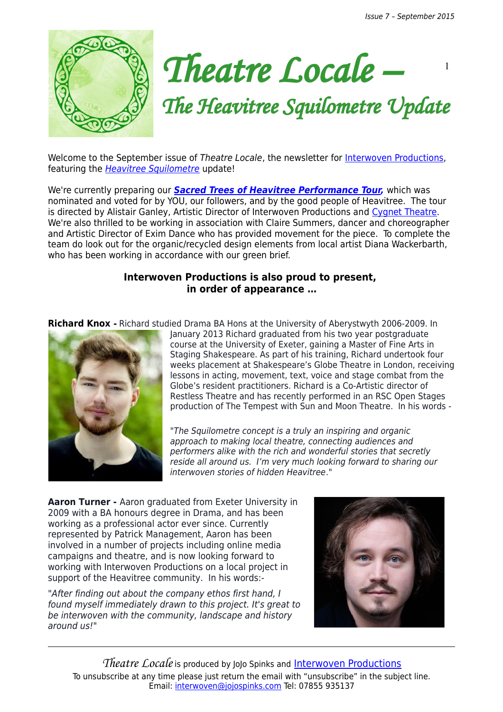Issue 7 – September 2015

1





# *The Heavitree Squilometre Update*

Welcome to the September issue of Theatre Locale, the newsletter for [Interwoven Productions,](http://interwovenproductions.weebly.com/nominate-a-street.html) featuring the [Heavitree Squilometre](http://interwovenproductions.weebly.com/the-heavitree-squilometre.html) update!

We're currently preparing our **[Sacred Trees of Heavitree Performance Tour,](http://interwovenproductions.weebly.com/sacred-trees-of-heavitree---book-now.html)** which was nominated and voted for by YOU, our followers, and by the good people of Heavitree. The tour is directed by Alistair Ganley, Artistic Director of Interwoven Productions and [Cygnet Theatre.](http://cygnettheatre.co.uk/) We're also thrilled to be working in association with Claire Summers, dancer and choreographer and Artistic Director of Exim Dance who has provided movement for the piece. To complete the team do look out for the organic/recycled design elements from local artist Diana Wackerbarth, who has been working in accordance with our green brief.

## **Interwoven Productions is also proud to present, in order of appearance …**

**Richard Knox** - Richard studied Drama BA Hons at the University of Aberystwyth 2006-2009. In



January 2013 Richard graduated from his two year postgraduate course at the University of Exeter, gaining a Master of Fine Arts in Staging Shakespeare. As part of his training, Richard undertook four weeks placement at Shakespeare's Globe Theatre in London, receiving lessons in acting, movement, text, voice and stage combat from the Globe's resident practitioners. Richard is a Co-Artistic director of Restless Theatre and has recently performed in an RSC Open Stages production of The Tempest with Sun and Moon Theatre. In his words -

"The Squilometre concept is a truly an inspiring and organic approach to making local theatre, connecting audiences and performers alike with the rich and wonderful stories that secretly reside all around us. I'm very much looking forward to sharing our interwoven stories of hidden Heavitree."

**Aaron Turner -** Aaron graduated from Exeter University in 2009 with a BA honours degree in Drama, and has been working as a professional actor ever since. Currently represented by Patrick Management, Aaron has been involved in a number of projects including online media campaigns and theatre, and is now looking forward to working with Interwoven Productions on a local project in support of the Heavitree community. In his words:-

"After finding out about the company ethos first hand, I found myself immediately drawn to this project. It's great to be interwoven with the community, landscape and history around us!"